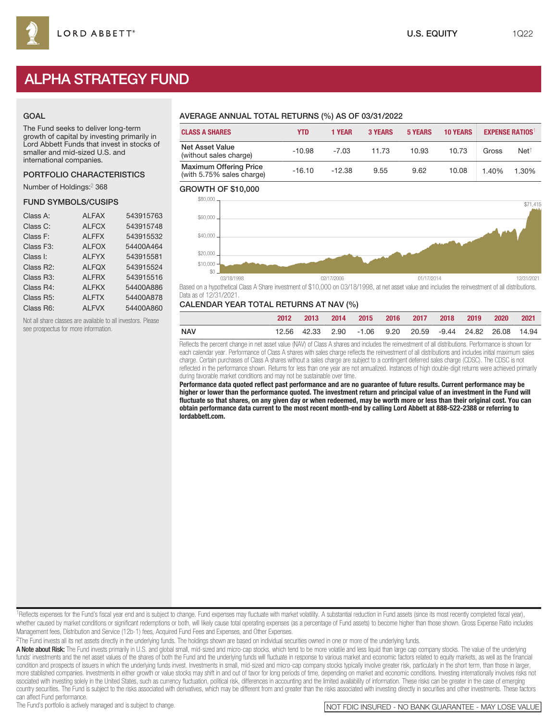# ALPHA STRATEGY FUND

#### GOAL

The Fund seeks to deliver long-term growth of capital by investing primarily in Lord Abbett Funds that invest in stocks of smaller and mid-sized U.S. and international companies.

#### PORTFOLIO CHARACTERISTICS

Number of Holdings:<sup>2</sup> 368

#### FUND SYMBOLS/CUSIPS

| <b>ALFAX</b> | 543915763 |
|--------------|-----------|
| <b>ALFCX</b> | 543915748 |
| <b>ALFFX</b> | 543915532 |
| <b>ALFOX</b> | 54400A464 |
| <b>ALFYX</b> | 543915581 |
| <b>ALFOX</b> | 543915524 |
| <b>ALFRX</b> | 543915516 |
| <b>ALFKX</b> | 54400A886 |
| <b>ALFTX</b> | 54400A878 |
| <b>ALFVX</b> | 54400A860 |
|              |           |

Not all share classes are available to all investors. Please see prospectus for more information.

# AVERAGE ANNUAL TOTAL RETURNS (%) AS OF 03/31/2022

| <b>CLASS A SHARES</b>                                      | YTD      | <b>1 YEAR</b> | <b>3 YEARS</b> | <b>5 YEARS</b> | <b>10 YEARS</b> |       | <b>EXPENSE RATIOS</b> |
|------------------------------------------------------------|----------|---------------|----------------|----------------|-----------------|-------|-----------------------|
| <b>Net Asset Value</b><br>(without sales charge)           | $-10.98$ | $-7.03$       | 11.73          | 10.93          | 10.73           | Gross | $Net^{\dagger}$       |
| <b>Maximum Offering Price</b><br>(with 5.75% sales charge) | $-16.10$ | $-12.38$      | 9.55           | 9.62           | 10.08           | 1.40% | 1.30%                 |

#### GROWTH OF \$10,000



Based on a hypothetical Class A Share investment of \$10,000 on 03/18/1998, at net asset value and includes the reinvestment of all distributions. Data as of 12/31/2021.

#### CALENDAR YEAR TOTAL RETURNS AT NAV (%)

|     | 2012 | 2013 |  | 2014 2015 2016 2017 2018 2019                             |  | $\sim 2020$ | 2021 |
|-----|------|------|--|-----------------------------------------------------------|--|-------------|------|
| NAV |      |      |  | 12.56 42.33 2.90 -1.06 9.20 20.59 -9.44 24.82 26.08 14.94 |  |             |      |

Reflects the percent change in net asset value (NAV) of Class A shares and includes the reinvestment of all distributions. Performance is shown for each calendar year. Performance of Class A shares with sales charge reflects the reinvestment of all distributions and includes initial maximum sales charge. Certain purchases of Class A shares without a sales charge are subject to a contingent deferred sales charge (CDSC). The CDSC is not reflected in the performance shown. Returns for less than one year are not annualized. Instances of high double-digit returns were achieved primarily during favorable market conditions and may not be sustainable over time.

**Performance data quoted reflect past performance and are no guarantee of future results. Current performance may be higher or lower than the performance quoted. The investment return and principal value of an investment in the Fund will fluctuate so that shares, on any given day or when redeemed, may be worth more or less than their original cost. You can obtain performance data current to the most recent month-end by calling Lord Abbett at 888-522-2388 or referring to lordabbett.com.**

<sup>1</sup>Reflects expenses for the Fund's fiscal year end and is subject to change. Fund expenses may fluctuate with market volatility. A substantial reduction in Fund assets (since its most recently completed fiscal year), whether caused by market conditions or significant redemptions or both, will likely cause total operating expenses (as a percentage of Fund assets) to become higher than those shown. Gross Expense Ratio includes Management fees, Distribution and Service (12b-1) fees, Acquired Fund Fees and Expenses, and Other Expenses.

<sup>2</sup>The Fund invests all its net assets directly in the underlying funds. The holdings shown are based on individual securities owned in one or more of the underlying funds.

A Note about Risk: The Fund invests primarily in U.S. and global small, mid-sized and micro-cap stocks, which tend to be more volatile and less liquid than large cap company stocks. The value of the underlying funds' investments and the net asset values of the shares of both the Fund and the underlying funds will fluctuate in response to various market and economic factors related to equity markets, as well as the financial condition and prospects of issuers in which the underlying funds invest. Investments in small, mid-sized and micro-cap company stocks typically involve greater risk, particularly in the short term, than those in larger, more stablished companies. Investments in either growth or value stocks may shift in and out of favor for long periods of time, depending on market and economic conditions. Investing internationally involves risks not ssociated with investing solely in the United States, such as currency fluctuation, political risk, differences in accounting and the limited availability of information. These risks can be greater in the case of emerging country securities. The Fund is subject to the risks associated with derivatives, which may be different from and greater than the risks associated with investing directly in securities and other investments. These factors

can affect Fund performance.<br>The Fund's portfolio is actively managed and is subject to change.